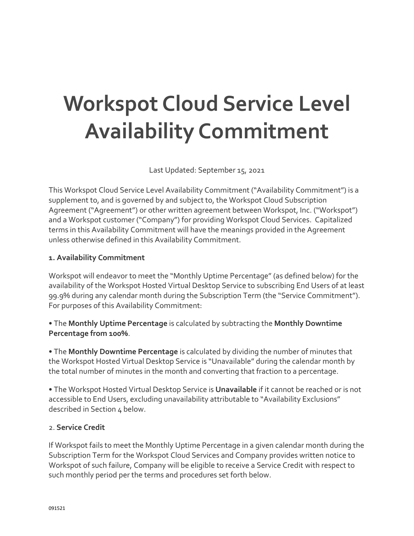# **Workspot Cloud Service Level Availability Commitment**

Last Updated: September 15, 2021

This Workspot Cloud Service Level Availability Commitment ("Availability Commitment") is a supplement to, and is governed by and subject to, the Workspot Cloud Subscription Agreement ("Agreement") or other written agreement between Workspot, Inc. ("Workspot") and a Workspot customer ("Company") for providing Workspot Cloud Services. Capitalized terms in this Availability Commitment will have the meanings provided in the Agreement unless otherwise defined in this Availability Commitment.

#### **1. Availability Commitment**

Workspot will endeavor to meet the "Monthly Uptime Percentage" (as defined below) for the availability of the Workspot Hosted Virtual Desktop Service to subscribing End Users of at least 99.9% during any calendar month during the Subscription Term (the "Service Commitment"). For purposes of this Availability Commitment:

• The **Monthly Uptime Percentage** is calculated by subtracting the **Monthly Downtime Percentage from 100%**.

• The **Monthly Downtime Percentage** is calculated by dividing the number of minutes that the Workspot Hosted Virtual Desktop Service is "Unavailable" during the calendar month by the total number of minutes in the month and converting that fraction to a percentage.

• The Workspot Hosted Virtual Desktop Service is **Unavailable** if it cannot be reached or is not accessible to End Users, excluding unavailability attributable to "Availability Exclusions" described in Section 4 below.

#### 2. **Service Credit**

If Workspot fails to meet the Monthly Uptime Percentage in a given calendar month during the Subscription Term for the Workspot Cloud Services and Company provides written notice to Workspot of such failure, Company will be eligible to receive a Service Credit with respect to such monthly period per the terms and procedures set forth below.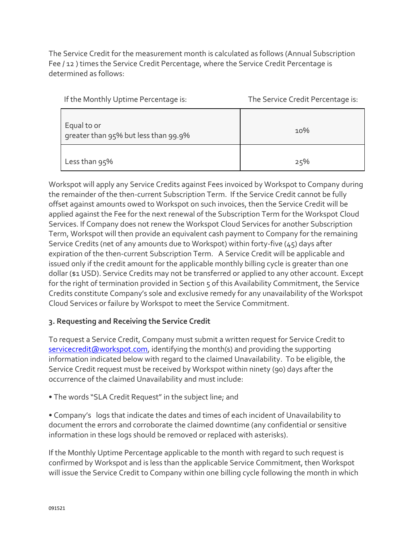The Service Credit for the measurement month is calculated as follows (Annual Subscription Fee / 12 ) times the Service Credit Percentage, where the Service Credit Percentage is determined as follows:

| If the Monthly Uptime Percentage is:                | The Service Credit Percentage is: |
|-----------------------------------------------------|-----------------------------------|
| Equal to or<br>greater than 95% but less than 99.9% | 10%                               |
| Less than 95%                                       | 25%                               |

Workspot will apply any Service Credits against Fees invoiced by Workspot to Company during the remainder of the then-current Subscription Term. If the Service Credit cannot be fully offset against amounts owed to Workspot on such invoices, then the Service Credit will be applied against the Fee for the next renewal of the Subscription Term for the Workspot Cloud Services. If Company does not renew the Workspot Cloud Services for another Subscription Term, Workspot will then provide an equivalent cash payment to Company for the remaining Service Credits (net of any amounts due to Workspot) within forty-five (45) days after expiration of the then-current Subscription Term. A Service Credit will be applicable and issued only if the credit amount for the applicable monthly billing cycle is greater than one dollar (\$1 USD). Service Credits may not be transferred or applied to any other account. Except for the right of termination provided in Section 5 of this Availability Commitment, the Service Credits constitute Company's sole and exclusive remedy for any unavailability of the Workspot Cloud Services or failure by Workspot to meet the Service Commitment.

## **3. Requesting and Receiving the Service Credit**

To request a Service Credit, Company must submit a written request for Service Credit to [servicecredit@workspot.com,](mailto:servicecredit@workspot.com) identifying the month(s) and providing the supporting information indicated below with regard to the claimed Unavailability. To be eligible, the Service Credit request must be received by Workspot within ninety (90) days after the occurrence of the claimed Unavailability and must include:

• The words "SLA Credit Request" in the subject line; and

• Company's logs that indicate the dates and times of each incident of Unavailability to document the errors and corroborate the claimed downtime (any confidential or sensitive information in these logs should be removed or replaced with asterisks).

If the Monthly Uptime Percentage applicable to the month with regard to such request is confirmed by Workspot and is less than the applicable Service Commitment, then Workspot will issue the Service Credit to Company within one billing cycle following the month in which